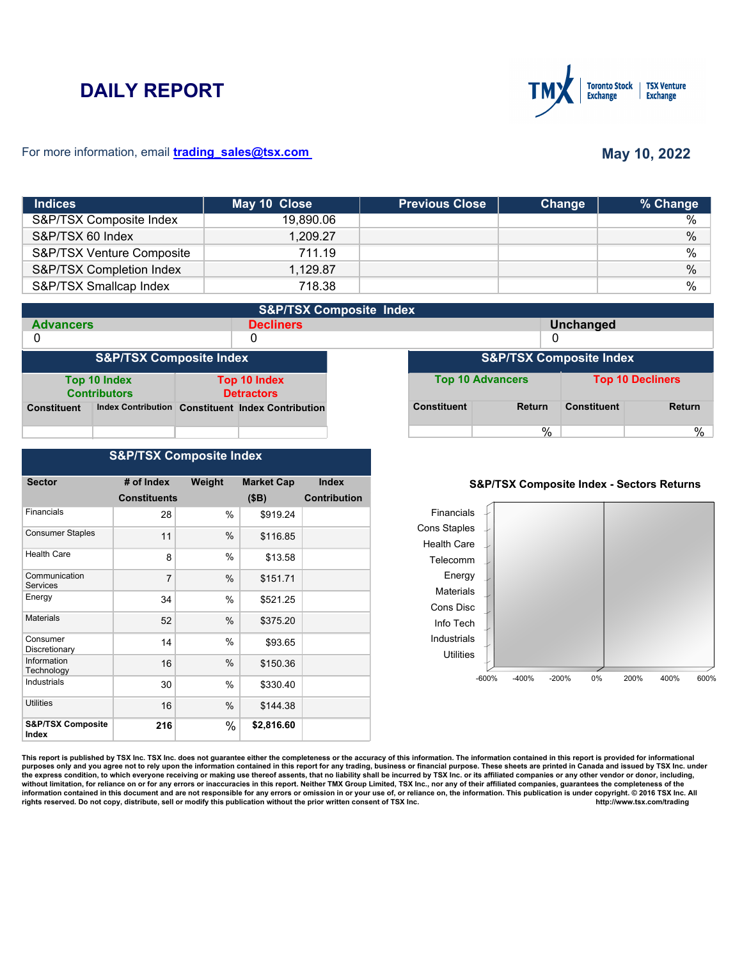# **DAILY REPORT**



### For more information, email **trading\_sales@tsx.com**

# **May 10, 2022**

| <b>Indices</b>            | May 10 Close | <b>Previous Close</b> | Change | % Change      |
|---------------------------|--------------|-----------------------|--------|---------------|
| S&P/TSX Composite Index   | 19,890.06    |                       |        | $\%$          |
| S&P/TSX 60 Index          | 1,209.27     |                       |        | $\%$          |
| S&P/TSX Venture Composite | 711.19       |                       |        | %             |
| S&P/TSX Completion Index  | 1,129.87     |                       |        | $\frac{0}{0}$ |
| S&P/TSX Smallcap Index    | 718.38       |                       |        | $\frac{0}{0}$ |

|                                    | <b>S&amp;P/TSX Composite Index</b>  |  |                                                   |  |                    |                         |                    |                         |
|------------------------------------|-------------------------------------|--|---------------------------------------------------|--|--------------------|-------------------------|--------------------|-------------------------|
| <b>Advancers</b>                   |                                     |  | <b>Decliners</b>                                  |  |                    |                         | <b>Unchanged</b>   |                         |
| 0                                  |                                     |  | 0                                                 |  | 0                  |                         |                    |                         |
| <b>S&amp;P/TSX Composite Index</b> |                                     |  | <b>S&amp;P/TSX Composite Index</b>                |  |                    |                         |                    |                         |
|                                    | Top 10 Index<br><b>Contributors</b> |  | Top 10 Index<br><b>Detractors</b>                 |  |                    | <b>Top 10 Advancers</b> |                    | <b>Top 10 Decliners</b> |
| <b>Constituent</b>                 |                                     |  | Index Contribution Constituent Index Contribution |  | <b>Constituent</b> | <b>Return</b>           | <b>Constituent</b> | <b>Return</b>           |
|                                    |                                     |  |                                                   |  |                    | %                       |                    | %                       |

## **S&P/TSX Composite Index**

| <b>Sector</b>                         | # of Index          | Weight | <b>Market Cap</b> | <b>Index</b>        |
|---------------------------------------|---------------------|--------|-------------------|---------------------|
|                                       | <b>Constituents</b> |        | (SB)              | <b>Contribution</b> |
| Financials                            | 28                  | %      | \$919.24          |                     |
| <b>Consumer Staples</b>               | 11                  | $\%$   | \$116.85          |                     |
| <b>Health Care</b>                    | 8                   | $\%$   | \$13.58           |                     |
| Communication<br><b>Services</b>      | 7                   | $\%$   | \$151.71          |                     |
| Energy                                | 34                  | $\%$   | \$521.25          |                     |
| <b>Materials</b>                      | 52                  | %      | \$375.20          |                     |
| Consumer<br>Discretionary             | 14                  | %      | \$93.65           |                     |
| Information<br>Technology             | 16                  | $\%$   | \$150.36          |                     |
| Industrials                           | 30                  | %      | \$330.40          |                     |
| Utilities                             | 16                  | $\%$   | \$144.38          |                     |
| <b>S&amp;P/TSX Composite</b><br>Index | 216                 | %      | \$2,816.60        |                     |

#### **S&P/TSX Composite Index - Sectors Returns**



This report is published by TSX Inc. TSX Inc. does not guarantee either the completeness or the accuracy of this information. The information contained in this report is provided for informational **purposes only and you agree not to rely upon the information contained in this report for any trading, business or financial purpose. These sheets are printed in Canada and issued by TSX Inc. under**  the express condition, to which everyone receiving or making use thereof assents, that no liability shall be incurred by TSX Inc. or its affiliated companies or any other vendor or donor, including,<br>without limitation, for information contained in this document and are not responsible for any errors or omission in or your use of, or reliance on, the information. This publication is under copyright. © 2016 TSX Inc. All <br>
rights reserved. Do n rights reserved. Do not copy, distribute, sell or modify this publication without the prior written consent of TSX Inc.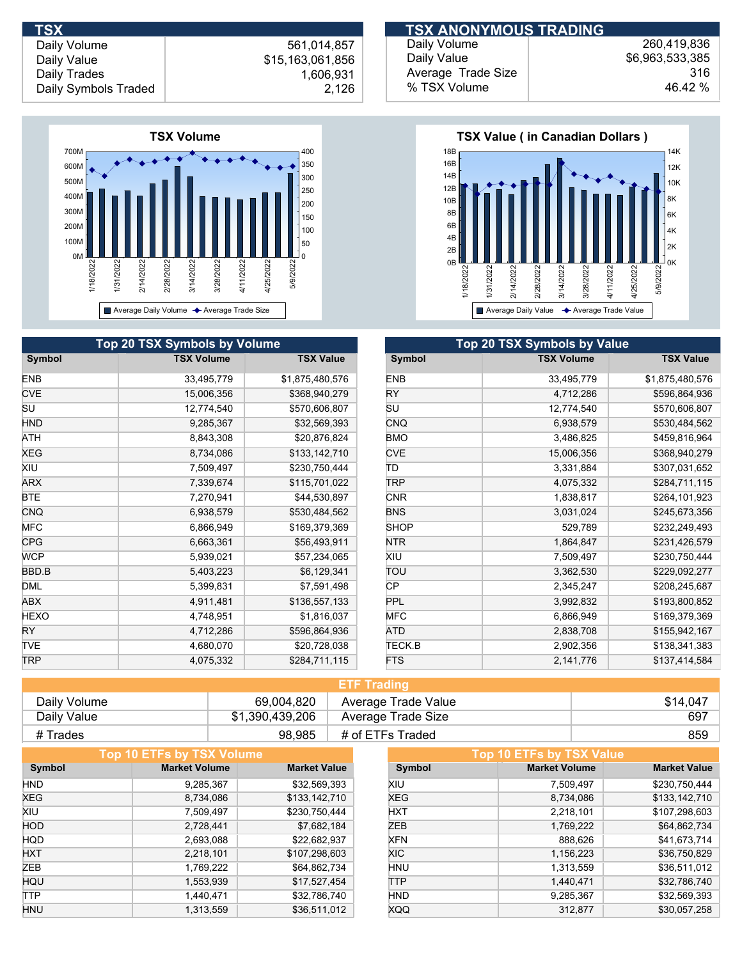

|             | Top 20 TSX Symbols by Volume |                  | Top 20 TSX Symbols by Value |                   |
|-------------|------------------------------|------------------|-----------------------------|-------------------|
| Symbol      | <b>TSX Volume</b>            | <b>TSX Value</b> | Symbol                      | <b>TSX Volume</b> |
| <b>ENB</b>  | 33,495,779                   | \$1,875,480,576  | <b>ENB</b>                  | 33,495,779        |
| <b>CVE</b>  | 15,006,356                   | \$368,940,279    | <b>RY</b>                   | 4,712,286         |
| SU          | 12,774,540                   | \$570,606,807    | <b>SU</b>                   | 12,774,540        |
| <b>HND</b>  | 9,285,367                    | \$32,569,393     | CNQ                         | 6,938,579         |
| ATH         | 8,843,308                    | \$20,876,824     | <b>BMO</b>                  | 3,486,825         |
| XEG         | 8,734,086                    | \$133,142,710    | <b>CVE</b>                  | 15,006,356        |
| XIU         | 7,509,497                    | \$230,750,444    | ΙD                          | 3,331,884         |
| <b>ARX</b>  | 7,339,674                    | \$115,701,022    | <b>TRP</b>                  | 4,075,332         |
| <b>BTE</b>  | 7,270,941                    | \$44,530,897     | <b>CNR</b>                  | 1,838,817         |
| CNQ         | 6,938,579                    | \$530,484,562    | <b>BNS</b>                  | 3,031,024         |
| <b>MFC</b>  | 6,866,949                    | \$169,379,369    | <b>SHOP</b>                 | 529,789           |
| <b>CPG</b>  | 6,663,361                    | \$56,493,911     | <b>NTR</b>                  | 1,864,847         |
| <b>WCP</b>  | 5,939,021                    | \$57,234,065     | <b>XIU</b>                  | 7,509,497         |
| BBD.B       | 5,403,223                    | \$6,129,341      | TOU                         | 3,362,530         |
| <b>DML</b>  | 5,399,831                    | \$7,591,498      | <b>CP</b>                   | 2,345,247         |
| ABX         | 4,911,481                    | \$136,557,133    | <b>PPL</b>                  | 3,992,832         |
| <b>HEXO</b> | 4,748,951                    | \$1,816,037      | <b>MFC</b>                  | 6,866,949         |
| <b>RY</b>   | 4,712,286                    | \$596,864,936    | ATD                         | 2,838,708         |
| <b>TVE</b>  | 4,680,070                    | \$20,728,038     | <b>TECK.B</b>               | 2,902,356         |
| <b>TRP</b>  | 4,075,332                    | \$284,711,115    | <b>FTS</b>                  | 2,141,776         |

| <b>TSX</b>           |                  | <b>TSX ANONYMOUS TRADING</b> |                 |
|----------------------|------------------|------------------------------|-----------------|
| Daily Volume         | 561.014.857      | Daily Volume                 | 260,419,836     |
| Daily Value          | \$15,163,061,856 | Daily Value                  | \$6,963,533,385 |
| Daily Trades         | ,606,931         | Average Trade Size           | 316             |
| Daily Symbols Traded | 2,126            | % TSX Volume                 | 46.42 %         |



| <b>Top 20 TSX Symbols by Value</b> |                   |                  |  |  |  |
|------------------------------------|-------------------|------------------|--|--|--|
| Symbol                             | <b>TSX Volume</b> | <b>TSX Value</b> |  |  |  |
| <b>ENB</b>                         | 33,495,779        | \$1,875,480,576  |  |  |  |
| RY                                 | 4,712,286         | \$596,864,936    |  |  |  |
| SU                                 | 12,774,540        | \$570,606,807    |  |  |  |
| <b>CNQ</b>                         | 6,938,579         | \$530,484,562    |  |  |  |
| <b>BMO</b>                         | 3,486,825         | \$459,816,964    |  |  |  |
| <b>CVE</b>                         | 15,006,356        | \$368,940,279    |  |  |  |
| ΤD                                 | 3,331,884         | \$307,031,652    |  |  |  |
| TRP                                | 4,075,332         | \$284,711,115    |  |  |  |
| <b>CNR</b>                         | 1,838,817         | \$264,101,923    |  |  |  |
| <b>BNS</b>                         | 3,031,024         | \$245,673,356    |  |  |  |
| <b>SHOP</b>                        | 529,789           | \$232,249,493    |  |  |  |
| <b>NTR</b>                         | 1,864,847         | \$231,426,579    |  |  |  |
| XIU                                | 7,509,497         | \$230,750,444    |  |  |  |
| ΤΟυ                                | 3,362,530         | \$229,092,277    |  |  |  |
| СP                                 | 2,345,247         | \$208,245,687    |  |  |  |
| PPL                                | 3,992,832         | \$193,800,852    |  |  |  |
| <b>MFC</b>                         | 6,866,949         | \$169,379,369    |  |  |  |
| ATD                                | 2,838,708         | \$155,942,167    |  |  |  |
| TECK.B                             | 2,902,356         | \$138,341,383    |  |  |  |
| <b>FTS</b>                         | 2,141,776         | \$137,414,584    |  |  |  |

| <b>ETF Trading</b> |                 |                     |          |  |
|--------------------|-----------------|---------------------|----------|--|
| Daily Volume       | 69.004.820      | Average Trade Value | \$14.047 |  |
| Daily Value        | \$1,390,439,206 | Average Trade Size  | 697      |  |
| # Trades           | 98,985          | # of ETFs Traded    | 859      |  |

| Top 10 ETFs by TSX Volume |                      |                     |            | Top 10 ETFs by TSX Value |                     |
|---------------------------|----------------------|---------------------|------------|--------------------------|---------------------|
| Symbol                    | <b>Market Volume</b> | <b>Market Value</b> | Symbol     | <b>Market Volume</b>     | <b>Market Value</b> |
| <b>HND</b>                | 9,285,367            | \$32,569,393        | XIU        | 7,509,497                | \$230,750,444       |
| <b>XEG</b>                | 8,734,086            | \$133,142,710       | <b>XEG</b> | 8,734,086                | \$133,142,710       |
| XIU                       | 7,509,497            | \$230,750,444       | <b>HXT</b> | 2,218,101                | \$107,298,603       |
| <b>HOD</b>                | 2,728,441            | \$7,682,184         | ZEB        | 1,769,222                | \$64,862,734        |
| <b>HQD</b>                | 2,693,088            | \$22,682,937        | <b>XFN</b> | 888,626                  | \$41,673,714        |
| <b>HXT</b>                | 2,218,101            | \$107,298,603       | XIC.       | 1,156,223                | \$36,750,829        |
| <b>ZEB</b>                | 1,769,222            | \$64,862,734        | <b>HNU</b> | 1,313,559                | \$36,511,012        |
| HQU                       | 1,553,939            | \$17,527,454        | <b>TTP</b> | 1,440,471                | \$32,786,740        |
| <b>TTP</b>                | 1,440,471            | \$32,786,740        | <b>HND</b> | 9,285,367                | \$32,569,393        |
| <b>HNU</b>                | 1,313,559            | \$36,511,012        | <b>XQQ</b> | 312.877                  | \$30,057,258        |